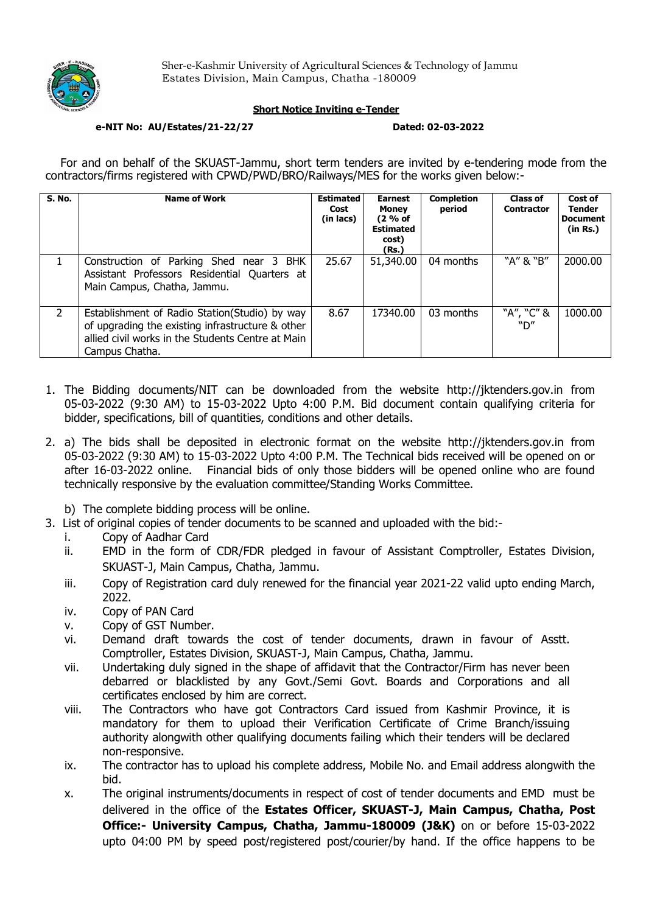

## Short Notice Inviting e-Tender

### e-NIT No: AU/Estates/21-22/27 Dated: 02-03-2022

For and on behalf of the SKUAST-Jammu, short term tenders are invited by e-tendering mode from the contractors/firms registered with CPWD/PWD/BRO/Railways/MES for the works given below:-

| <b>S. No.</b> | <b>Name of Work</b>                                                                                                                                                       | <b>Estimated</b><br>Cost<br>(in lacs) | <b>Earnest</b><br><b>Money</b><br>(2 % of<br><b>Estimated</b><br>cost)<br>(Rs.) | <b>Completion</b><br>period | <b>Class of</b><br><b>Contractor</b> | Cost of<br><b>Tender</b><br><b>Document</b><br>(in Rs.) |
|---------------|---------------------------------------------------------------------------------------------------------------------------------------------------------------------------|---------------------------------------|---------------------------------------------------------------------------------|-----------------------------|--------------------------------------|---------------------------------------------------------|
|               | Construction of Parking Shed near 3 BHK<br>Assistant Professors Residential Quarters at<br>Main Campus, Chatha, Jammu.                                                    | 25.67                                 | 51,340.00                                                                       | 04 months                   | "A" & "B"                            | 2000.00                                                 |
| $\mathcal{P}$ | Establishment of Radio Station (Studio) by way<br>of upgrading the existing infrastructure & other<br>allied civil works in the Students Centre at Main<br>Campus Chatha. | 8.67                                  | 17340.00                                                                        | 03 months                   | "A", "C" &<br>"D"                    | 1000.00                                                 |

- 1. The Bidding documents/NIT can be downloaded from the website http://jktenders.gov.in from 05-03-2022 (9:30 AM) to 15-03-2022 Upto 4:00 P.M. Bid document contain qualifying criteria for bidder, specifications, bill of quantities, conditions and other details.
- 2. a) The bids shall be deposited in electronic format on the website http://jktenders.gov.in from 05-03-2022 (9:30 AM) to 15-03-2022 Upto 4:00 P.M. The Technical bids received will be opened on or after 16-03-2022 online. Financial bids of only those bidders will be opened online who are found technically responsive by the evaluation committee/Standing Works Committee.
	- b) The complete bidding process will be online.
- 3. List of original copies of tender documents to be scanned and uploaded with the bid:
	- i. Copy of Aadhar Card
	- ii. EMD in the form of CDR/FDR pledged in favour of Assistant Comptroller, Estates Division, SKUAST-J, Main Campus, Chatha, Jammu.
	- iii. Copy of Registration card duly renewed for the financial year 2021-22 valid upto ending March, 2022.
	- iv. Copy of PAN Card
	- v. Copy of GST Number.
	- vi. Demand draft towards the cost of tender documents, drawn in favour of Asstt. Comptroller, Estates Division, SKUAST-J, Main Campus, Chatha, Jammu.
	- vii. Undertaking duly signed in the shape of affidavit that the Contractor/Firm has never been debarred or blacklisted by any Govt./Semi Govt. Boards and Corporations and all certificates enclosed by him are correct.
	- viii. The Contractors who have got Contractors Card issued from Kashmir Province, it is mandatory for them to upload their Verification Certificate of Crime Branch/issuing authority alongwith other qualifying documents failing which their tenders will be declared non-responsive.
	- ix. The contractor has to upload his complete address, Mobile No. and Email address alongwith the bid.
	- x. The original instruments/documents in respect of cost of tender documents and EMD must be delivered in the office of the Estates Officer, SKUAST-J, Main Campus, Chatha, Post Office:- University Campus, Chatha, Jammu-180009 (J&K) on or before 15-03-2022 upto 04:00 PM by speed post/registered post/courier/by hand. If the office happens to be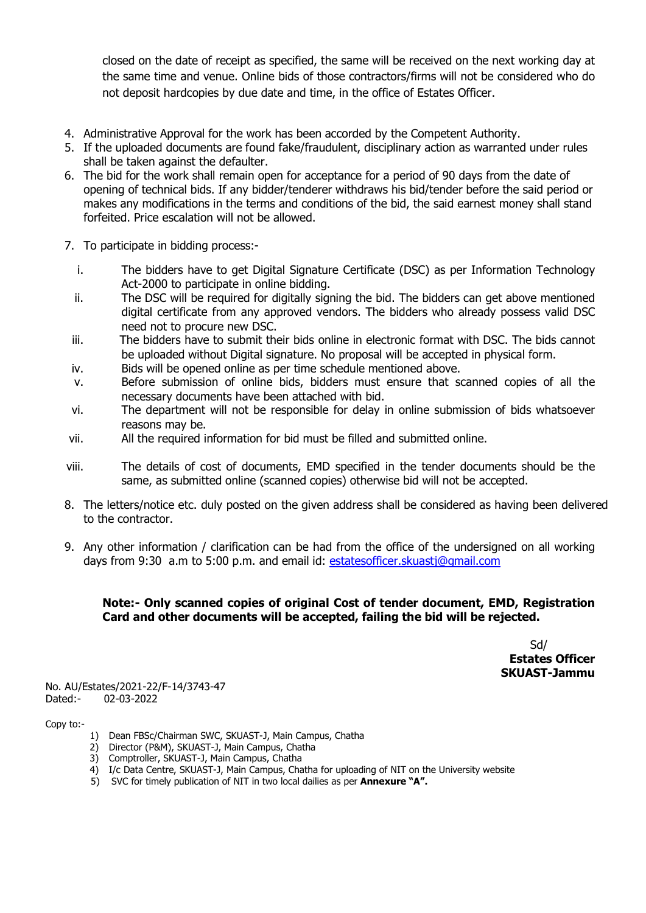closed on the date of receipt as specified, the same will be received on the next working day at the same time and venue. Online bids of those contractors/firms will not be considered who do not deposit hardcopies by due date and time, in the office of Estates Officer.

- 4. Administrative Approval for the work has been accorded by the Competent Authority.
- 5. If the uploaded documents are found fake/fraudulent, disciplinary action as warranted under rules shall be taken against the defaulter.
- 6. The bid for the work shall remain open for acceptance for a period of 90 days from the date of opening of technical bids. If any bidder/tenderer withdraws his bid/tender before the said period or makes any modifications in the terms and conditions of the bid, the said earnest money shall stand forfeited. Price escalation will not be allowed.
- 7. To participate in bidding process:
	- i. The bidders have to get Digital Signature Certificate (DSC) as per Information Technology Act-2000 to participate in online bidding.
	- ii. The DSC will be required for digitally signing the bid. The bidders can get above mentioned digital certificate from any approved vendors. The bidders who already possess valid DSC need not to procure new DSC.
	- iii. The bidders have to submit their bids online in electronic format with DSC. The bids cannot be uploaded without Digital signature. No proposal will be accepted in physical form.
	- iv. Bids will be opened online as per time schedule mentioned above.
	- v. Before submission of online bids, bidders must ensure that scanned copies of all the necessary documents have been attached with bid.
	- vi. The department will not be responsible for delay in online submission of bids whatsoever reasons may be.
- vii. All the required information for bid must be filled and submitted online.
- viii. The details of cost of documents, EMD specified in the tender documents should be the same, as submitted online (scanned copies) otherwise bid will not be accepted.
- 8. The letters/notice etc. duly posted on the given address shall be considered as having been delivered to the contractor.
- 9. Any other information / clarification can be had from the office of the undersigned on all working days from 9:30 a.m to 5:00 p.m. and email id: estatesofficer.skuastj@gmail.com

# Note:- Only scanned copies of original Cost of tender document, EMD, Registration Card and other documents will be accepted, failing the bid will be rejected.

Sd/ Estates Officer SKUAST-Jammu

No. AU/Estates/2021-22/F-14/3743-47 Dated:- 02-03-2022

Copy to:-

- 1) Dean FBSc/Chairman SWC, SKUAST-J, Main Campus, Chatha
- 2) Director (P&M), SKUAST-J, Main Campus, Chatha
- 3) Comptroller, SKUAST-J, Main Campus, Chatha
- 4) I/c Data Centre, SKUAST-J, Main Campus, Chatha for uploading of NIT on the University website
- 5) SVC for timely publication of NIT in two local dailies as per Annexure "A".